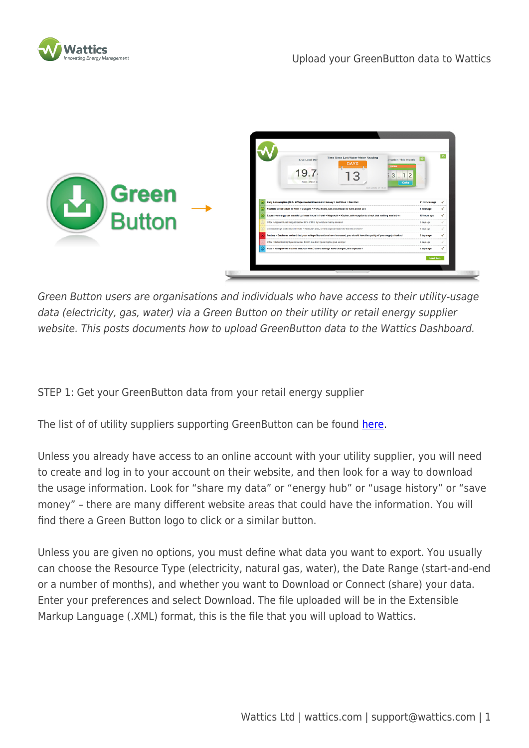



Green Button users are organisations and individuals who have access to their utility-usage data (electricity, gas, water) via a Green Button on their utility or retail energy supplier website. This posts documents how to upload GreenButton data to the Wattics Dashboard.

STEP 1: Get your GreenButton data from your retail energy supplier

The list of of utility suppliers supporting GreenButton can be found [here](http://en.openei.org/wiki/Green_Button).

Unless you already have access to an online account with your utility supplier, you will need to create and log in to your account on their website, and then look for a way to download the usage information. Look for "share my data" or "energy hub" or "usage history" or "save money" – there are many different website areas that could have the information. You will find there a Green Button logo to click or a similar button.

Unless you are given no options, you must define what data you want to export. You usually can choose the Resource Type (electricity, natural gas, water), the Date Range (start-and-end or a number of months), and whether you want to Download or Connect (share) your data. Enter your preferences and select Download. The file uploaded will be in the Extensible Markup Language (.XML) format, this is the file that you will upload to Wattics.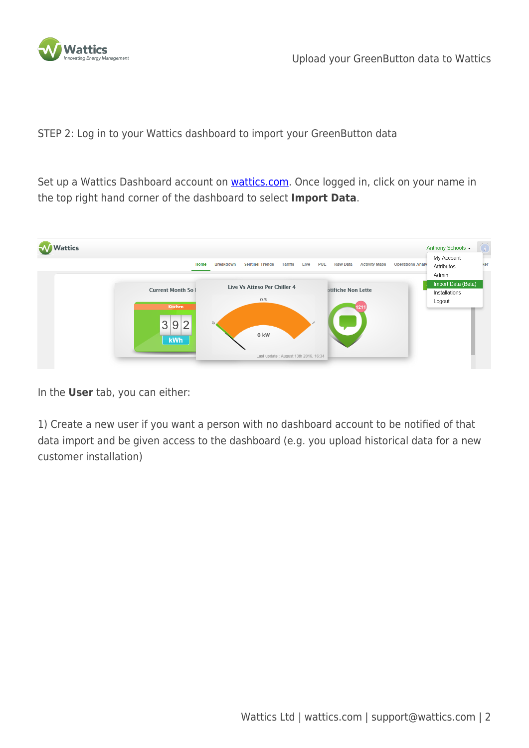

STEP 2: Log in to your Wattics dashboard to import your GreenButton data

Set up a Wattics Dashboard account on **wattics.com**. Once logged in, click on your name in the top right hand corner of the dashboard to select **Import Data**.



In the **User** tab, you can either:

1) Create a new user if you want a person with no dashboard account to be notified of that data import and be given access to the dashboard (e.g. you upload historical data for a new customer installation)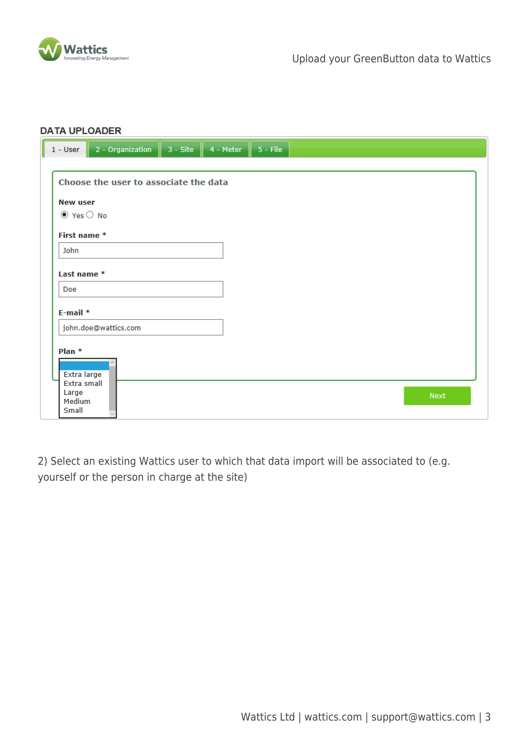

| Choose the user to associate the data                              |             |
|--------------------------------------------------------------------|-------------|
|                                                                    |             |
|                                                                    |             |
| <b>New user</b>                                                    |             |
| $\odot$ Yes $\odot$ No                                             |             |
| First name *                                                       |             |
| John                                                               |             |
| Last name *                                                        |             |
| Doe                                                                |             |
| $E$ -mail $*$                                                      |             |
| john.doe@wattics.com                                               |             |
| Plan <sup>*</sup><br>Extra large<br>Extra small<br>Large<br>Medium | <b>Next</b> |

2) Select an existing Wattics user to which that data import will be associated to (e.g. yourself or the person in charge at the site)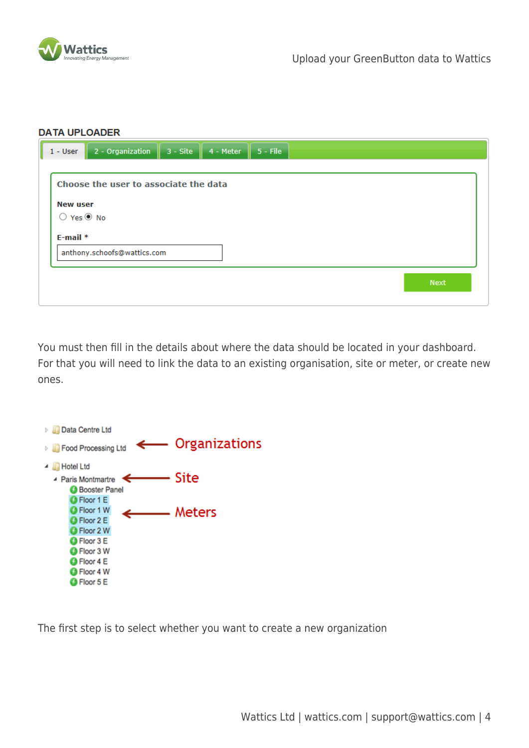

| $1 - User$            | 2 - Organization                      | $3 - Site$ | 4 - Meter | $5 -$ File |  |  |  |  |             |  |
|-----------------------|---------------------------------------|------------|-----------|------------|--|--|--|--|-------------|--|
|                       | Choose the user to associate the data |            |           |            |  |  |  |  |             |  |
| <b>New user</b><br>O. | Yes <sup><sup>O</sup> No</sup>        |            |           |            |  |  |  |  |             |  |
| $E$ -mail $*$         |                                       |            |           |            |  |  |  |  |             |  |
|                       | anthony.schoofs@wattics.com           |            |           |            |  |  |  |  |             |  |
|                       |                                       |            |           |            |  |  |  |  | <b>Next</b> |  |
|                       |                                       |            |           |            |  |  |  |  |             |  |

You must then fill in the details about where the data should be located in your dashboard. For that you will need to link the data to an existing organisation, site or meter, or create new ones.



The first step is to select whether you want to create a new organization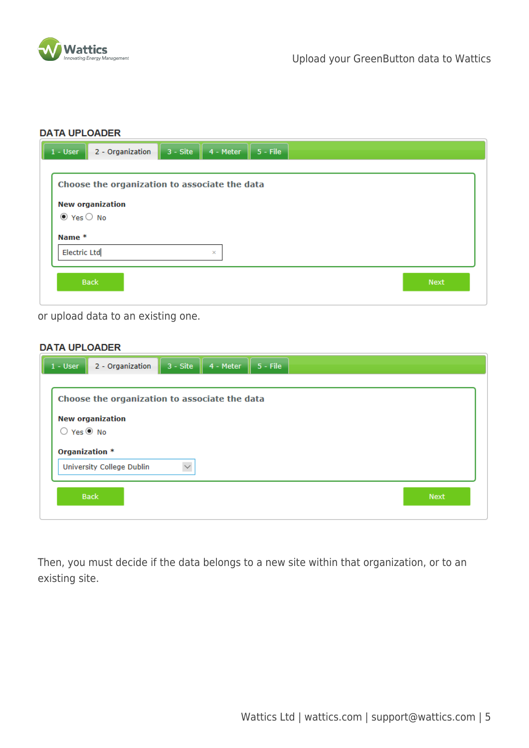

| 2 - Organization<br>$1 - User$                | $3 - Site$<br>4 - Meter | $5 -$ File  |
|-----------------------------------------------|-------------------------|-------------|
| Choose the organization to associate the data |                         |             |
| <b>New organization</b>                       |                         |             |
| $\odot$ Yes $\odot$ No<br>Name *              |                         |             |
| <b>Electric Ltd</b>                           | $\times$                |             |
| <b>Back</b>                                   |                         | <b>Next</b> |
|                                               |                         |             |

or upload data to an existing one.

## **DATA UPLOADER**

|                                  | Choose the organization to associate the data |  |
|----------------------------------|-----------------------------------------------|--|
| <b>New organization</b>          |                                               |  |
| $\bigcirc$ Yes $\circledast$ No  |                                               |  |
| Organization *                   |                                               |  |
| <b>University College Dublin</b> | $\smallsmile$                                 |  |

Then, you must decide if the data belongs to a new site within that organization, or to an existing site.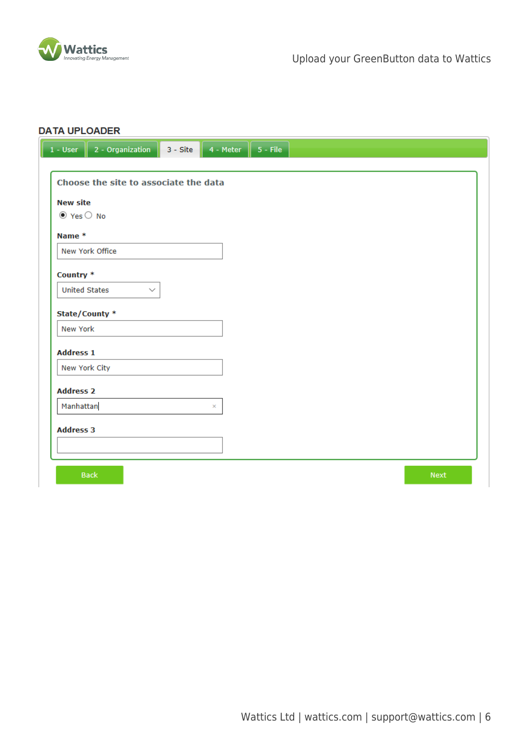

|                        | 1 - User $\parallel$ 2 - Organization $\parallel$ | $3 - \text{Site}$ 4 - Meter   5 - File |  |  |      |
|------------------------|---------------------------------------------------|----------------------------------------|--|--|------|
|                        |                                                   |                                        |  |  |      |
|                        | Choose the site to associate the data             |                                        |  |  |      |
| <b>New site</b>        |                                                   |                                        |  |  |      |
| $\odot$ Yes $\odot$ No |                                                   |                                        |  |  |      |
| Name *                 |                                                   |                                        |  |  |      |
|                        | New York Office                                   |                                        |  |  |      |
|                        |                                                   |                                        |  |  |      |
| Country *              |                                                   |                                        |  |  |      |
| <b>United States</b>   | $\checkmark$                                      |                                        |  |  |      |
|                        | State/County *                                    |                                        |  |  |      |
| New York               |                                                   |                                        |  |  |      |
| <b>Address 1</b>       |                                                   |                                        |  |  |      |
|                        | New York City                                     |                                        |  |  |      |
|                        |                                                   |                                        |  |  |      |
| <b>Address 2</b>       |                                                   |                                        |  |  |      |
| Manhattan              |                                                   | ×                                      |  |  |      |
| <b>Address 3</b>       |                                                   |                                        |  |  |      |
|                        |                                                   |                                        |  |  |      |
|                        |                                                   |                                        |  |  |      |
|                        | <b>Back</b>                                       |                                        |  |  | Next |
|                        |                                                   |                                        |  |  |      |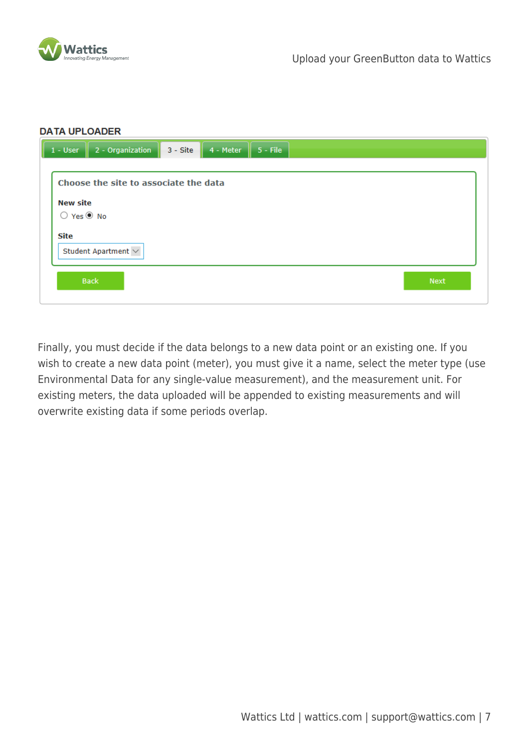

| <b>DATA UPLOADER</b>                  |          |                         |             |
|---------------------------------------|----------|-------------------------|-------------|
| 2 - Organization<br>$1 - User$        | 3 - Site | $5 -$ File<br>4 - Meter |             |
|                                       |          |                         |             |
| Choose the site to associate the data |          |                         |             |
| <b>New site</b>                       |          |                         |             |
| $\bigcirc$ Yes $\circledast$ No       |          |                         |             |
| <b>Site</b>                           |          |                         |             |
| Student Apartment $\sim$              |          |                         |             |
|                                       |          |                         |             |
| <b>Back</b>                           |          |                         | <b>Next</b> |
|                                       |          |                         |             |

Finally, you must decide if the data belongs to a new data point or an existing one. If you wish to create a new data point (meter), you must give it a name, select the meter type (use Environmental Data for any single-value measurement), and the measurement unit. For existing meters, the data uploaded will be appended to existing measurements and will overwrite existing data if some periods overlap.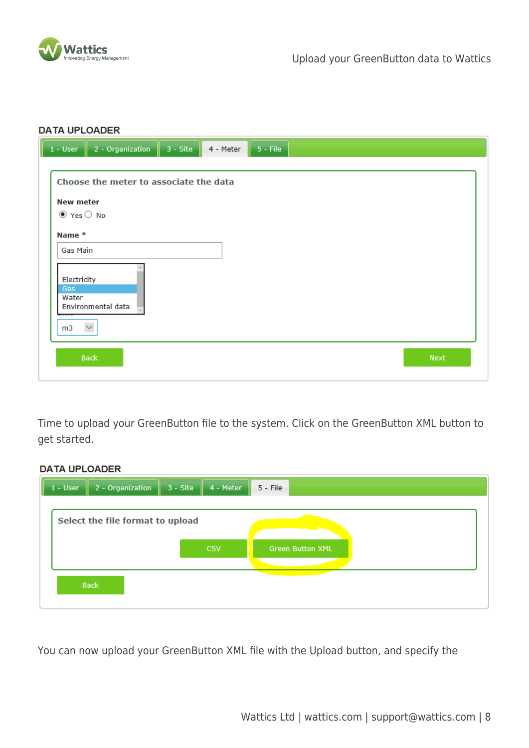

| $1 - User$                                                                                            | 2 - Organization<br>$5 -$ File<br>$3 - \text{Site}$<br>4 - Meter              |             |
|-------------------------------------------------------------------------------------------------------|-------------------------------------------------------------------------------|-------------|
| <b>New meter</b><br>$\odot$ Yes $\odot$ No<br>Name *<br>Gas Main<br>Electricity<br>Gas<br>Water<br>m3 | Choose the meter to associate the data<br>Environmental data<br>$\smallsmile$ |             |
|                                                                                                       | <b>Back</b>                                                                   | <b>Next</b> |
|                                                                                                       |                                                                               |             |

Time to upload your GreenButton file to the system. Click on the GreenButton XML button to get started.

## **DATA UPLOADER**

| $1 - User$ | 2 - Organization                 | $3 - Site$ | 4 - Meter  | $5 -$ File              |  |
|------------|----------------------------------|------------|------------|-------------------------|--|
|            | Select the file format to upload |            |            |                         |  |
|            |                                  |            |            |                         |  |
|            |                                  |            | <b>CSV</b> | <b>Green Button XML</b> |  |
|            | <b>Back</b>                      |            |            |                         |  |
|            |                                  |            |            |                         |  |

You can now upload your GreenButton XML file with the Upload button, and specify the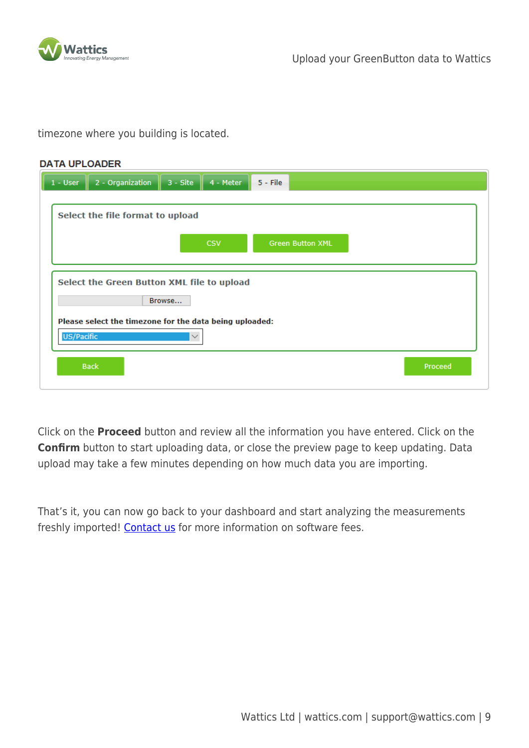

timezone where you building is located.

| <b>DATA UPLOADER</b> |                                                         |                                                      |                         |         |  |  |  |  |  |
|----------------------|---------------------------------------------------------|------------------------------------------------------|-------------------------|---------|--|--|--|--|--|
| $1 - User$           | 2 - Organization                                        | $3 - \text{Site}$<br>4 - Meter                       | $5 -$ File              |         |  |  |  |  |  |
|                      | Select the file format to upload                        |                                                      |                         |         |  |  |  |  |  |
|                      |                                                         | <b>CSV</b>                                           | <b>Green Button XML</b> |         |  |  |  |  |  |
|                      |                                                         |                                                      |                         |         |  |  |  |  |  |
|                      |                                                         | Select the Green Button XML file to upload<br>Browse |                         |         |  |  |  |  |  |
|                      | Please select the timezone for the data being uploaded: |                                                      |                         |         |  |  |  |  |  |
| US/Pacific           |                                                         | $\smallsmile$                                        |                         |         |  |  |  |  |  |
|                      | <b>Back</b>                                             |                                                      |                         | Proceed |  |  |  |  |  |

Click on the **Proceed** button and review all the information you have entered. Click on the **Confirm** button to start uploading data, or close the preview page to keep updating. Data upload may take a few minutes depending on how much data you are importing.

That's it, you can now go back to your dashboard and start analyzing the measurements freshly imported! [Contact us](http://www.wattics.com/contact) for more information on software fees.